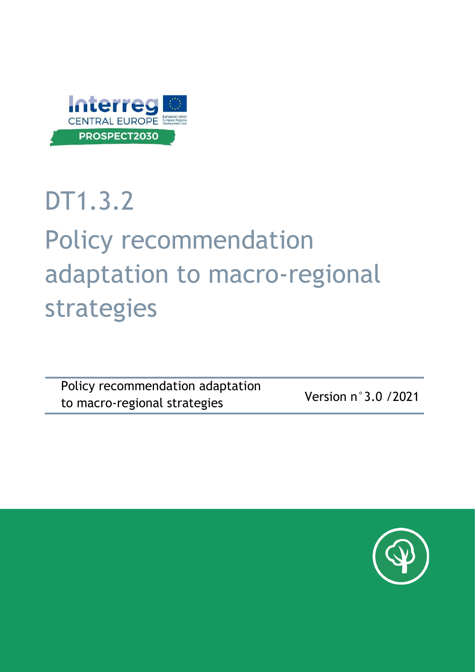

## DT1.3.2

# Policy recommendation adaptation to macro-regional strategies

Policy recommendation adaptation to macro-regional strategies Version n°3.0 /2021

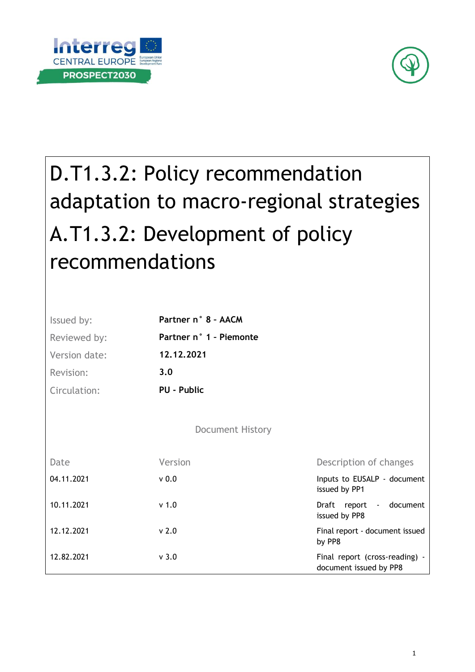



## D.T1.3.2: Policy recommendation adaptation to macro-regional strategies A.T1.3.2: Development of policy recommendations

| Issued by:    | Partner n° 8 - AACM     |                                                          |
|---------------|-------------------------|----------------------------------------------------------|
| Reviewed by:  | Partner n° 1 - Piemonte |                                                          |
| Version date: | 12.12.2021              |                                                          |
| Revision:     | 3.0                     |                                                          |
| Circulation:  | PU - Public             |                                                          |
|               |                         |                                                          |
|               | <b>Document History</b> |                                                          |
| Date          | Version                 | Description of changes                                   |
| 04.11.2021    | v <sub>0.0</sub>        | Inputs to EUSALP - document<br>issued by PP1             |
| 10.11.2021    | v <sub>1.0</sub>        | Draft report - document<br>issued by PP8                 |
| 12.12.2021    | v <sub>2.0</sub>        | Final report - document issued<br>by PP8                 |
| 12.82.2021    | v <sub>3.0</sub>        | Final report (cross-reading) -<br>document issued by PP8 |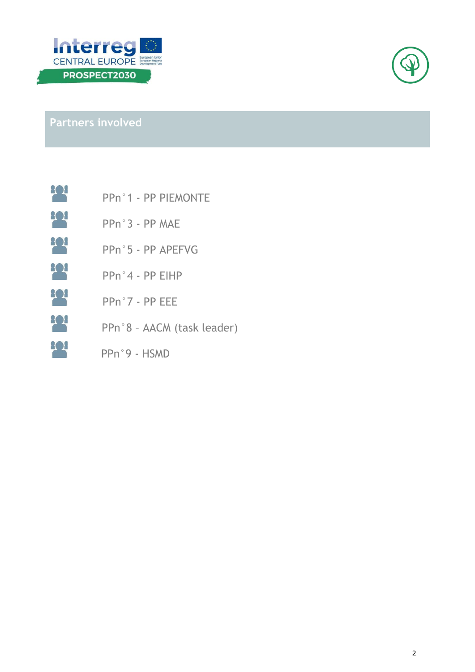



**Partners involved**

| 808 |                |  | PPn°1 - PP PIEMONTE |
|-----|----------------|--|---------------------|
| 302 | PPn°3 - PP MAE |  |                     |

- **208** PPn°5 - PP APEFVG
- **208** PPn°4 - PP EIHP
- **202** PPn°7 - PP EEE
- PPn°8 AACM (task leader)
- PPn°9 HSMD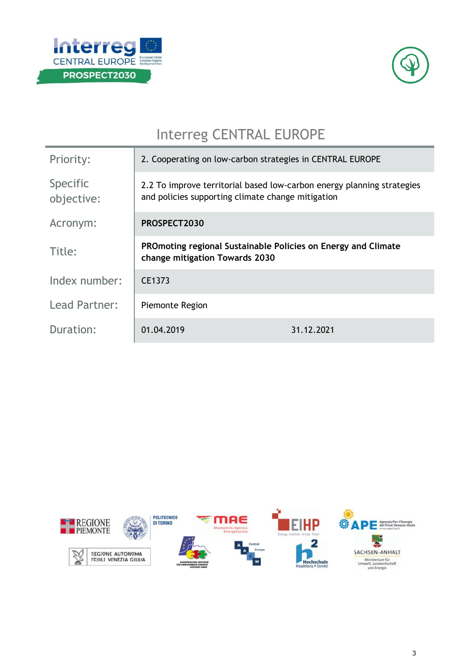



## Interreg CENTRAL EUROPE

| Priority:              | 2. Cooperating on low-carbon strategies in CENTRAL EUROPE                                                                   |            |  |
|------------------------|-----------------------------------------------------------------------------------------------------------------------------|------------|--|
| Specific<br>objective: | 2.2 To improve territorial based low-carbon energy planning strategies<br>and policies supporting climate change mitigation |            |  |
| Acronym:               | PROSPECT2030                                                                                                                |            |  |
| Title:                 | PROmoting regional Sustainable Policies on Energy and Climate<br>change mitigation Towards 2030                             |            |  |
| Index number:          | CE1373                                                                                                                      |            |  |
| Lead Partner:          | Piemonte Region                                                                                                             |            |  |
| Duration:              | 01.04.2019                                                                                                                  | 31.12.2021 |  |

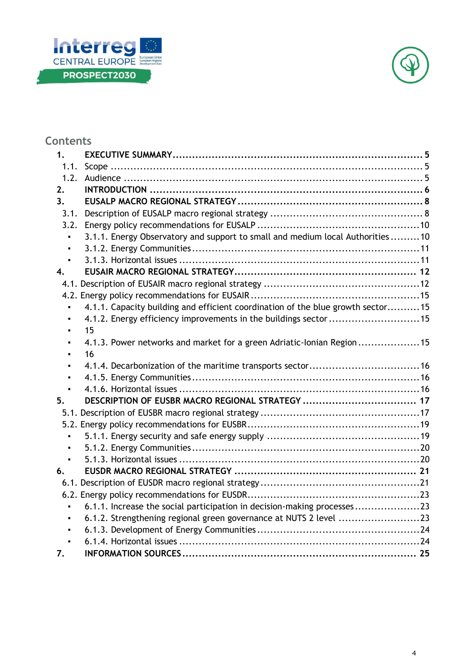



## **Contents**

| 1.             |                                                                                 |  |
|----------------|---------------------------------------------------------------------------------|--|
| 1.1.           |                                                                                 |  |
| 1.2.           |                                                                                 |  |
| 2.             |                                                                                 |  |
| $3_{-}$        |                                                                                 |  |
| 3.1.           |                                                                                 |  |
| 3.2.           |                                                                                 |  |
| $\blacksquare$ | 3.1.1. Energy Observatory and support to small and medium local Authorities  10 |  |
|                |                                                                                 |  |
| $\blacksquare$ |                                                                                 |  |
| 4.             |                                                                                 |  |
|                |                                                                                 |  |
|                |                                                                                 |  |
|                | 4.1.1. Capacity building and efficient coordination of the blue growth sector15 |  |
| $\blacksquare$ | 4.1.2. Energy efficiency improvements in the buildings sector 15                |  |
|                | 15                                                                              |  |
|                | 4.1.3. Power networks and market for a green Adriatic-Ionian Region 15          |  |
| $\blacksquare$ | 16                                                                              |  |
| $\blacksquare$ |                                                                                 |  |
| $\blacksquare$ |                                                                                 |  |
|                |                                                                                 |  |
| 5.             |                                                                                 |  |
|                |                                                                                 |  |
|                |                                                                                 |  |
|                |                                                                                 |  |
|                |                                                                                 |  |
|                |                                                                                 |  |
| 6.             |                                                                                 |  |
|                |                                                                                 |  |
|                |                                                                                 |  |
|                | 6.1.1. Increase the social participation in decision-making processes23         |  |
|                | 6.1.2. Strengthening regional green governance at NUTS 2 level 23               |  |
| ٠              |                                                                                 |  |
| $\blacksquare$ |                                                                                 |  |
| 7.             |                                                                                 |  |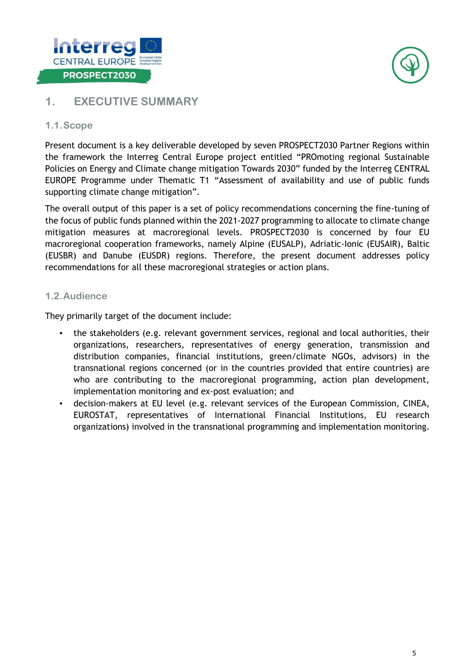![](_page_5_Picture_0.jpeg)

![](_page_5_Picture_1.jpeg)

### <span id="page-5-0"></span>**1. EXECUTIVE SUMMARY**

#### <span id="page-5-1"></span>**1.1.Scope**

Present document is a key deliverable developed by seven PROSPECT2030 Partner Regions within the framework the Interreg Central Europe project entitled "PROmoting regional Sustainable Policies on Energy and Climate change mitigation Towards 2030" funded by the Interreg CENTRAL EUROPE Programme under Thematic T1 "Assessment of availability and use of public funds supporting climate change mitigation".

The overall output of this paper is a set of policy recommendations concerning the fine-tuning of the focus of public funds planned within the 2021-2027 programming to allocate to climate change mitigation measures at macroregional levels. PROSPECT2030 is concerned by four EU macroregional cooperation frameworks, namely Alpine (EUSALP), Adriatic-Ionic (EUSAIR), Baltic (EUSBR) and Danube (EUSDR) regions. Therefore, the present document addresses policy recommendations for all these macroregional strategies or action plans.

#### <span id="page-5-2"></span>**1.2.Audience**

They primarily target of the document include:

- the stakeholders (e.g. relevant government services, regional and local authorities, their organizations, researchers, representatives of energy generation, transmission and distribution companies, financial institutions, green/climate NGOs, advisors) in the transnational regions concerned (or in the countries provided that entire countries) are who are contributing to the macroregional programming, action plan development, implementation monitoring and ex-post evaluation; and
- decision-makers at EU level (e.g. relevant services of the European Commission, CINEA, EUROSTAT, representatives of International Financial Institutions, EU research organizations) involved in the transnational programming and implementation monitoring.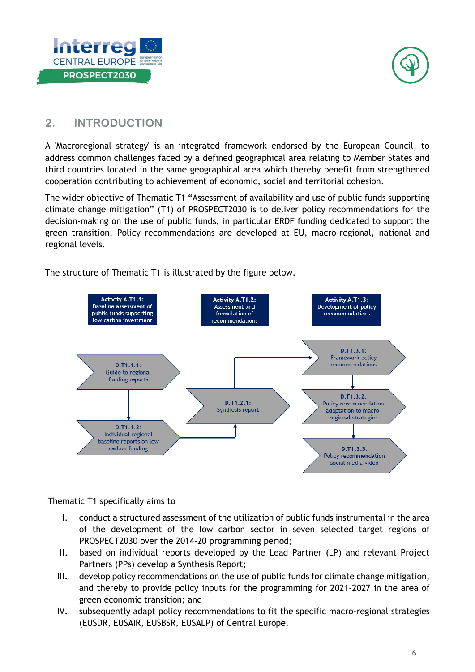![](_page_6_Picture_0.jpeg)

![](_page_6_Picture_1.jpeg)

## <span id="page-6-0"></span>**2. INTRODUCTION**

A 'Macroregional strategy' is an integrated framework endorsed by the European Council, to address common challenges faced by a defined geographical area relating to Member States and third countries located in the same geographical area which thereby benefit from strengthened cooperation contributing to achievement of economic, social and territorial cohesion.

The wider objective of Thematic T1 "Assessment of availability and use of public funds supporting climate change mitigation" (T1) of PROSPECT2030 is to deliver policy recommendations for the decision-making on the use of public funds, in particular ERDF funding dedicated to support the green transition. Policy recommendations are developed at EU, macro-regional, national and regional levels.

The structure of Thematic T1 is illustrated by the figure below.

![](_page_6_Figure_6.jpeg)

Thematic T1 specifically aims to

- I. conduct a structured assessment of the utilization of public funds instrumental in the area of the development of the low carbon sector in seven selected target regions of PROSPECT2030 over the 2014-20 programming period;
- II. based on individual reports developed by the Lead Partner (LP) and relevant Project Partners (PPs) develop a Synthesis Report;
- III. develop policy recommendations on the use of public funds for climate change mitigation, and thereby to provide policy inputs for the programming for 2021-2027 in the area of green economic transition; and
- IV. subsequently adapt policy recommendations to fit the specific macro-regional strategies (EUSDR, EUSAIR, EUSBSR, EUSALP) of Central Europe.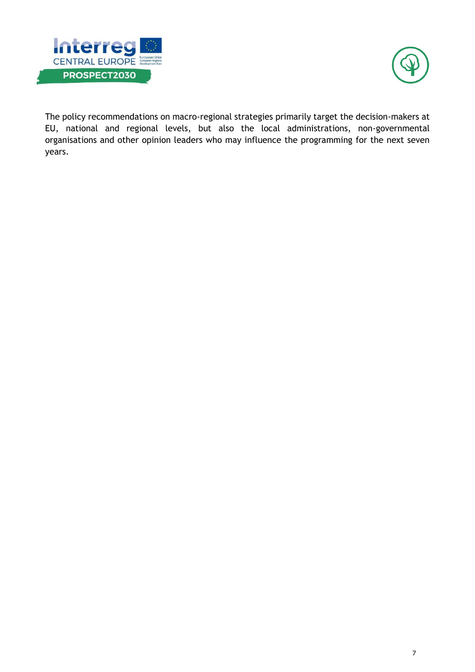![](_page_7_Picture_0.jpeg)

![](_page_7_Picture_1.jpeg)

The policy recommendations on macro-regional strategies primarily target the decision-makers at EU, national and regional levels, but also the local administrations, non-governmental organisations and other opinion leaders who may influence the programming for the next seven years.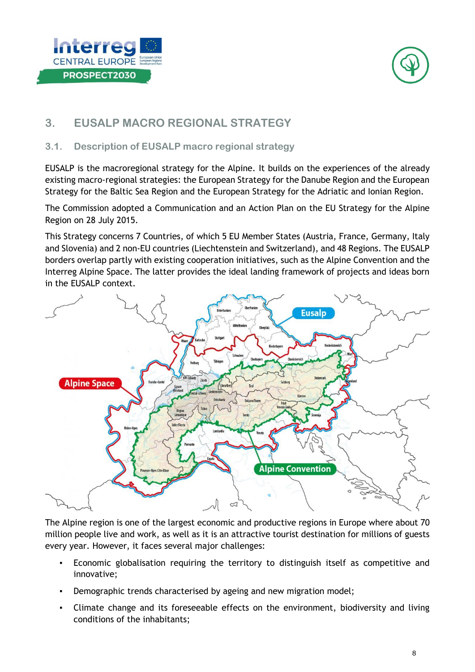![](_page_8_Picture_0.jpeg)

![](_page_8_Picture_1.jpeg)

## <span id="page-8-0"></span>**3. EUSALP MACRO REGIONAL STRATEGY**

#### <span id="page-8-1"></span>**3.1. Description of EUSALP macro regional strategy**

EUSALP is the macroregional strategy for the Alpine. It builds on the experiences of the already existing macro-regional strategies: the European Strategy for the Danube Region and the European Strategy for the Baltic Sea Region and the European Strategy for the Adriatic and Ionian Region.

The Commission adopted a Communication and an Action Plan on the EU Strategy for the Alpine Region on 28 July 2015.

This Strategy concerns 7 Countries, of which 5 EU Member States (Austria, France, Germany, Italy and Slovenia) and 2 non-EU countries (Liechtenstein and Switzerland), and 48 Regions. The EUSALP borders overlap partly with existing cooperation initiatives, such as the Alpine Convention and the Interreg Alpine Space. The latter provides the ideal landing framework of projects and ideas born in the EUSALP context.

![](_page_8_Figure_7.jpeg)

The Alpine region is one of the largest economic and productive regions in Europe where about 70 million people live and work, as well as it is an attractive tourist destination for millions of guests every year. However, it faces several major challenges:

- Economic globalisation requiring the territory to distinguish itself as competitive and innovative;
- Demographic trends characterised by ageing and new migration model;
- Climate change and its foreseeable effects on the environment, biodiversity and living conditions of the inhabitants;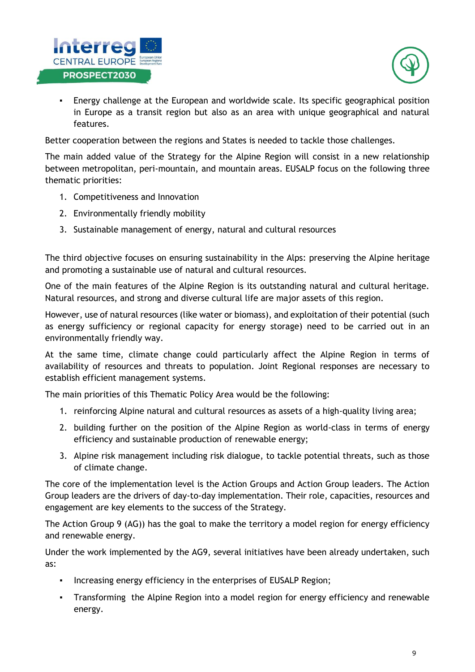![](_page_9_Picture_0.jpeg)

![](_page_9_Picture_1.jpeg)

▪ Energy challenge at the European and worldwide scale. Its specific geographical position in Europe as a transit region but also as an area with unique geographical and natural features.

Better cooperation between the regions and States is needed to tackle those challenges.

The main added value of the Strategy for the Alpine Region will consist in a new relationship between metropolitan, peri-mountain, and mountain areas. EUSALP focus on the following three thematic priorities:

- 1. Competitiveness and Innovation
- 2. Environmentally friendly mobility
- 3. Sustainable management of energy, natural and cultural resources

The third objective focuses on ensuring sustainability in the Alps: preserving the Alpine heritage and promoting a sustainable use of natural and cultural resources.

One of the main features of the Alpine Region is its outstanding natural and cultural heritage. Natural resources, and strong and diverse cultural life are major assets of this region.

However, use of natural resources (like water or biomass), and exploitation of their potential (such as energy sufficiency or regional capacity for energy storage) need to be carried out in an environmentally friendly way.

At the same time, climate change could particularly affect the Alpine Region in terms of availability of resources and threats to population. Joint Regional responses are necessary to establish efficient management systems.

The main priorities of this Thematic Policy Area would be the following:

- 1. reinforcing Alpine natural and cultural resources as assets of a high-quality living area;
- 2. building further on the position of the Alpine Region as world-class in terms of energy efficiency and sustainable production of renewable energy;
- 3. Alpine risk management including risk dialogue, to tackle potential threats, such as those of climate change.

The core of the implementation level is the Action Groups and Action Group leaders. The Action Group leaders are the drivers of day-to-day implementation. Their role, capacities, resources and engagement are key elements to the success of the Strategy.

The Action Group 9 (AG)) has the goal to make the territory a model region for energy efficiency and renewable energy.

Under the work implemented by the AG9, several initiatives have been already undertaken, such as:

- Increasing energy efficiency in the enterprises of EUSALP Region;
- Transforming the Alpine Region into a model region for energy efficiency and renewable energy.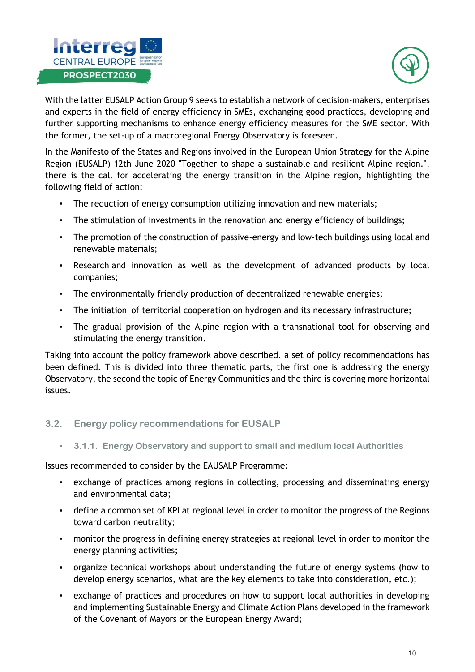![](_page_10_Picture_0.jpeg)

![](_page_10_Picture_1.jpeg)

With the latter EUSALP Action Group 9 seeks to establish a network of decision-makers, enterprises and experts in the field of energy efficiency in SMEs, exchanging good practices, developing and further supporting mechanisms to enhance energy efficiency measures for the SME sector. With the former, the set-up of a macroregional Energy Observatory is foreseen.

In the Manifesto of the States and Regions involved in the European Union Strategy for the Alpine Region (EUSALP) 12th June 2020 "Together to shape a sustainable and resilient Alpine region.", there is the call for accelerating the energy transition in the Alpine region, highlighting the following field of action:

- The reduction of energy consumption utilizing innovation and new materials;
- **•** The stimulation of investments in the renovation and energy efficiency of buildings;
- The promotion of the construction of passive-energy and low-tech buildings using local and renewable materials;
- Research and innovation as well as the development of advanced products by local companies;
- The environmentally friendly production of decentralized renewable energies;
- The initiation of territorial cooperation on hydrogen and its necessary infrastructure;
- The gradual provision of the Alpine region with a transnational tool for observing and stimulating the energy transition.

Taking into account the policy framework above described. a set of policy recommendations has been defined. This is divided into three thematic parts, the first one is addressing the energy Observatory, the second the topic of Energy Communities and the third is covering more horizontal issues.

#### <span id="page-10-0"></span>**3.2. Energy policy recommendations for EUSALP**

<span id="page-10-1"></span>▪ **3.1.1. Energy Observatory and support to small and medium local Authorities**

Issues recommended to consider by the EAUSALP Programme:

- exchange of practices among regions in collecting, processing and disseminating energy and environmental data;
- **•** define a common set of KPI at regional level in order to monitor the progress of the Regions toward carbon neutrality;
- monitor the progress in defining energy strategies at regional level in order to monitor the energy planning activities;
- organize technical workshops about understanding the future of energy systems (how to develop energy scenarios, what are the key elements to take into consideration, etc.);
- exchange of practices and procedures on how to support local authorities in developing and implementing Sustainable Energy and Climate Action Plans developed in the framework of the Covenant of Mayors or the European Energy Award;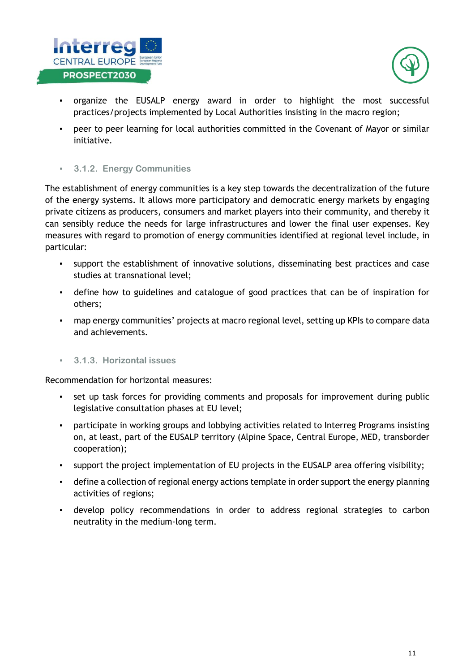![](_page_11_Picture_0.jpeg)

![](_page_11_Picture_1.jpeg)

- organize the EUSALP energy award in order to highlight the most successful practices/projects implemented by Local Authorities insisting in the macro region;
- peer to peer learning for local authorities committed in the Covenant of Mayor or similar initiative.
- <span id="page-11-0"></span>▪ **3.1.2. Energy Communities**

The establishment of energy communities is a key step towards the decentralization of the future of the energy systems. It allows more participatory and democratic energy markets by engaging private citizens as producers, consumers and market players into their community, and thereby it can sensibly reduce the needs for large infrastructures and lower the final user expenses. Key measures with regard to promotion of energy communities identified at regional level include, in particular:

- support the establishment of innovative solutions, disseminating best practices and case studies at transnational level;
- define how to guidelines and catalogue of good practices that can be of inspiration for others;
- map energy communities' projects at macro regional level, setting up KPIs to compare data and achievements.
- <span id="page-11-1"></span>▪ **3.1.3. Horizontal issues**

Recommendation for horizontal measures:

- set up task forces for providing comments and proposals for improvement during public legislative consultation phases at EU level;
- participate in working groups and lobbying activities related to Interreg Programs insisting on, at least, part of the EUSALP territory (Alpine Space, Central Europe, MED, transborder cooperation);
- support the project implementation of EU projects in the EUSALP area offering visibility;
- define a collection of regional energy actions template in order support the energy planning activities of regions;
- develop policy recommendations in order to address regional strategies to carbon neutrality in the medium-long term.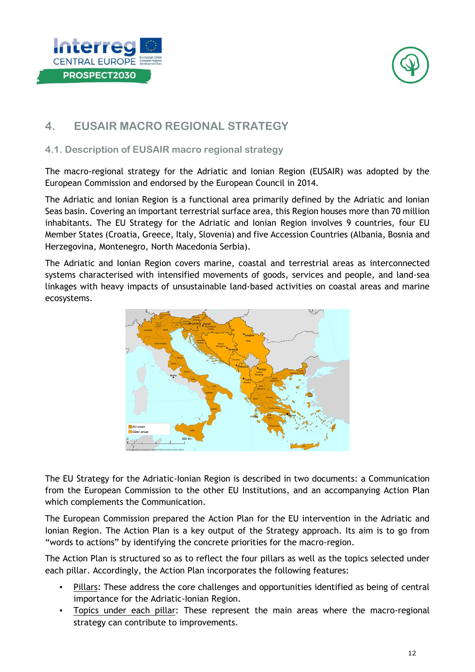![](_page_12_Picture_0.jpeg)

![](_page_12_Picture_1.jpeg)

## <span id="page-12-0"></span>**4. EUSAIR MACRO REGIONAL STRATEGY**

#### <span id="page-12-1"></span>**4.1. Description of EUSAIR macro regional strategy**

The macro-regional strategy for the Adriatic and Ionian Region (EUSAIR) was adopted by the European Commission and endorsed by the European Council in 2014.

The Adriatic and Ionian Region is a functional area primarily defined by the Adriatic and Ionian Seas basin. Covering an important terrestrial surface area, this Region houses more than 70 million inhabitants. The EU Strategy for the Adriatic and Ionian Region involves 9 countries, four EU Member States (Croatia, Greece, Italy, Slovenia) and five Accession Countries (Albania, Bosnia and Herzegovina, Montenegro, North Macedonia Serbia).

The Adriatic and Ionian Region covers marine, coastal and terrestrial areas as interconnected systems characterised with intensified movements of goods, services and people, and land-sea linkages with heavy impacts of unsustainable land-based activities on coastal areas and marine ecosystems.

![](_page_12_Figure_7.jpeg)

The EU Strategy for the Adriatic-Ionian Region is described in two documents: a Communication from the European Commission to the other EU Institutions, and an accompanying Action Plan which complements the Communication.

The European Commission prepared the Action Plan for the EU intervention in the Adriatic and Ionian Region. The Action Plan is a key output of the Strategy approach. Its aim is to go from "words to actions" by identifying the concrete priorities for the macro-region.

The Action Plan is structured so as to reflect the four pillars as well as the topics selected under each pillar. Accordingly, the Action Plan incorporates the following features:

- Pillars: These address the core challenges and opportunities identified as being of central importance for the Adriatic-Ionian Region.
- Topics under each pillar: These represent the main areas where the macro-regional strategy can contribute to improvements.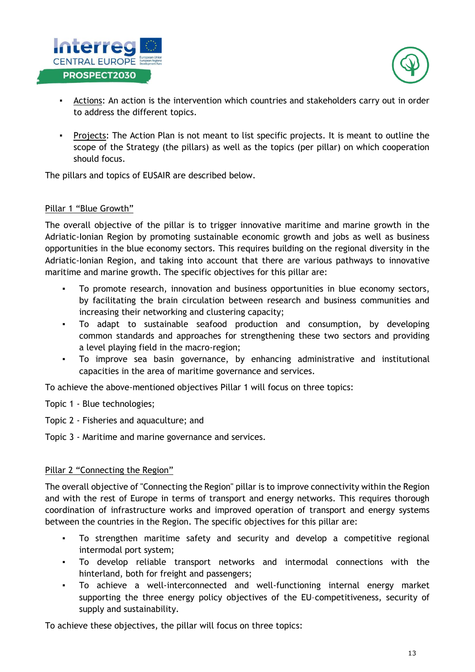![](_page_13_Picture_0.jpeg)

![](_page_13_Picture_1.jpeg)

- Actions: An action is the intervention which countries and stakeholders carry out in order to address the different topics.
- Projects: The Action Plan is not meant to list specific projects. It is meant to outline the scope of the Strategy (the pillars) as well as the topics (per pillar) on which cooperation should focus.

The pillars and topics of EUSAIR are described below.

#### Pillar 1 "Blue Growth"

The overall objective of the pillar is to trigger innovative maritime and marine growth in the Adriatic-Ionian Region by promoting sustainable economic growth and jobs as well as business opportunities in the blue economy sectors. This requires building on the regional diversity in the Adriatic-Ionian Region, and taking into account that there are various pathways to innovative maritime and marine growth. The specific objectives for this pillar are:

- To promote research, innovation and business opportunities in blue economy sectors, by facilitating the brain circulation between research and business communities and increasing their networking and clustering capacity;
- To adapt to sustainable seafood production and consumption, by developing common standards and approaches for strengthening these two sectors and providing a level playing field in the macro-region;
- To improve sea basin governance, by enhancing administrative and institutional capacities in the area of maritime governance and services.

To achieve the above-mentioned objectives Pillar 1 will focus on three topics:

- Topic 1 Blue technologies;
- Topic 2 Fisheries and aquaculture; and
- Topic 3 Maritime and marine governance and services.

#### Pillar 2 "Connecting the Region"

The overall objective of "Connecting the Region" pillar is to improve connectivity within the Region and with the rest of Europe in terms of transport and energy networks. This requires thorough coordination of infrastructure works and improved operation of transport and energy systems between the countries in the Region. The specific objectives for this pillar are:

- To strengthen maritime safety and security and develop a competitive regional intermodal port system;
- To develop reliable transport networks and intermodal connections with the hinterland, both for freight and passengers;
- To achieve a well-interconnected and well-functioning internal energy market supporting the three energy policy objectives of the EU–competitiveness, security of supply and sustainability.

To achieve these objectives, the pillar will focus on three topics: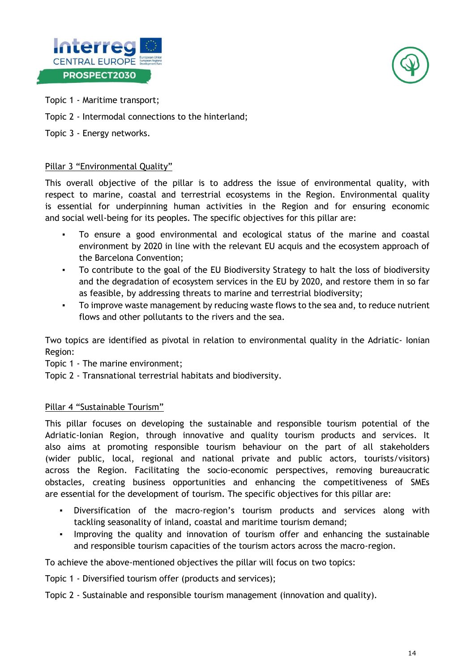![](_page_14_Picture_0.jpeg)

![](_page_14_Picture_1.jpeg)

- Topic 1 Maritime transport;
- Topic 2 Intermodal connections to the hinterland;
- Topic 3 Energy networks.

#### Pillar 3 "Environmental Quality"

This overall objective of the pillar is to address the issue of environmental quality, with respect to marine, coastal and terrestrial ecosystems in the Region. Environmental quality is essential for underpinning human activities in the Region and for ensuring economic and social well-being for its peoples. The specific objectives for this pillar are:

- To ensure a good environmental and ecological status of the marine and coastal environment by 2020 in line with the relevant EU acquis and the ecosystem approach of the Barcelona Convention;
- To contribute to the goal of the EU Biodiversity Strategy to halt the loss of biodiversity and the degradation of ecosystem services in the EU by 2020, and restore them in so far as feasible, by addressing threats to marine and terrestrial biodiversity;
- To improve waste management by reducing waste flows to the sea and, to reduce nutrient flows and other pollutants to the rivers and the sea.

Two topics are identified as pivotal in relation to environmental quality in the Adriatic- Ionian Region:

Topic 1 - The marine environment;

Topic 2 - Transnational terrestrial habitats and biodiversity.

#### Pillar 4 "Sustainable Tourism"

This pillar focuses on developing the sustainable and responsible tourism potential of the Adriatic-Ionian Region, through innovative and quality tourism products and services. It also aims at promoting responsible tourism behaviour on the part of all stakeholders (wider public, local, regional and national private and public actors, tourists/visitors) across the Region. Facilitating the socio-economic perspectives, removing bureaucratic obstacles, creating business opportunities and enhancing the competitiveness of SMEs are essential for the development of tourism. The specific objectives for this pillar are:

- Diversification of the macro-region's tourism products and services along with tackling seasonality of inland, coastal and maritime tourism demand;
- Improving the quality and innovation of tourism offer and enhancing the sustainable and responsible tourism capacities of the tourism actors across the macro-region.

To achieve the above-mentioned objectives the pillar will focus on two topics:

Topic 1 - Diversified tourism offer (products and services);

Topic 2 - Sustainable and responsible tourism management (innovation and quality).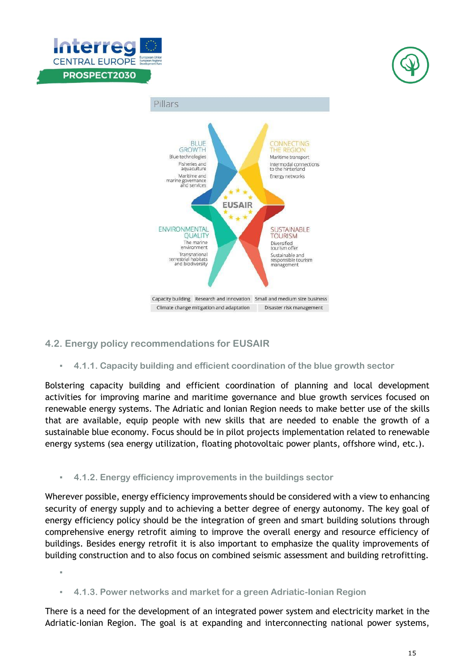![](_page_15_Picture_0.jpeg)

![](_page_15_Picture_1.jpeg)

![](_page_15_Figure_2.jpeg)

#### <span id="page-15-0"></span>**4.2. Energy policy recommendations for EUSAIR**

<span id="page-15-3"></span>▪

<span id="page-15-1"></span>▪ **4.1.1. Capacity building and efficient coordination of the blue growth sector**

Bolstering capacity building and efficient coordination of planning and local development activities for improving marine and maritime governance and blue growth services focused on renewable energy systems. The Adriatic and Ionian Region needs to make better use of the skills that are available, equip people with new skills that are needed to enable the growth of a sustainable blue economy. Focus should be in pilot projects implementation related to renewable energy systems (sea energy utilization, floating photovoltaic power plants, offshore wind, etc.).

#### <span id="page-15-2"></span>▪ **4.1.2. Energy efficiency improvements in the buildings sector**

Wherever possible, energy efficiency improvements should be considered with a view to enhancing security of energy supply and to achieving a better degree of energy autonomy. The key goal of energy efficiency policy should be the integration of green and smart building solutions through comprehensive energy retrofit aiming to improve the overall energy and resource efficiency of buildings. Besides energy retrofit it is also important to emphasize the quality improvements of building construction and to also focus on combined seismic assessment and building retrofitting.

<span id="page-15-4"></span>▪ **4.1.3. Power networks and market for a green Adriatic-Ionian Region**

There is a need for the development of an integrated power system and electricity market in the Adriatic-Ionian Region. The goal is at expanding and interconnecting national power systems,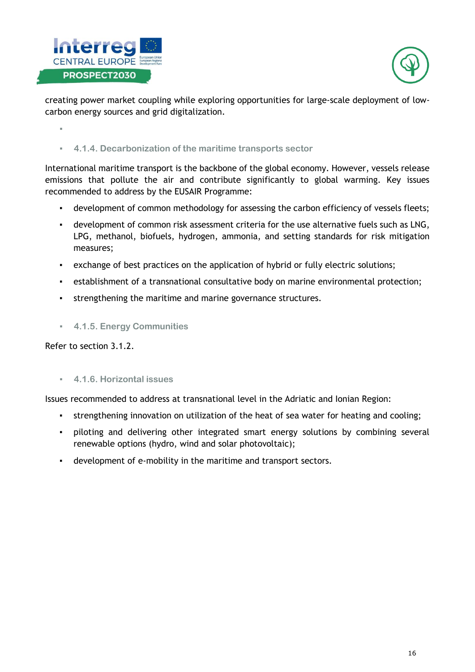![](_page_16_Picture_0.jpeg)

![](_page_16_Picture_1.jpeg)

creating power market coupling while exploring opportunities for large-scale deployment of lowcarbon energy sources and grid digitalization.

<span id="page-16-0"></span>▪

<span id="page-16-1"></span>▪ **4.1.4. Decarbonization of the maritime transports sector**

International maritime transport is the backbone of the global economy. However, vessels release emissions that pollute the air and contribute significantly to global warming. Key issues recommended to address by the EUSAIR Programme:

- development of common methodology for assessing the carbon efficiency of vessels fleets;
- development of common risk assessment criteria for the use alternative fuels such as LNG, LPG, methanol, biofuels, hydrogen, ammonia, and setting standards for risk mitigation measures;
- exchange of best practices on the application of hybrid or fully electric solutions;
- establishment of a transnational consultative body on marine environmental protection;
- strengthening the maritime and marine governance structures.
- <span id="page-16-2"></span>▪ **4.1.5. Energy Communities**

Refer to section 3.1.2.

<span id="page-16-3"></span>▪ **4.1.6. Horizontal issues**

Issues recommended to address at transnational level in the Adriatic and Ionian Region:

- strengthening innovation on utilization of the heat of sea water for heating and cooling;
- piloting and delivering other integrated smart energy solutions by combining several renewable options (hydro, wind and solar photovoltaic);
- development of e-mobility in the maritime and transport sectors.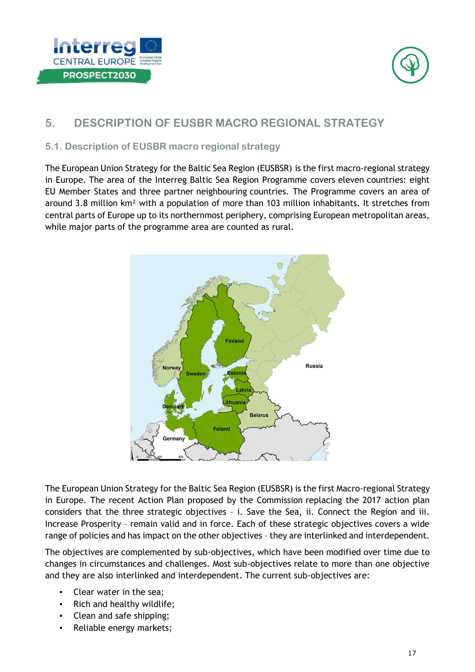![](_page_17_Picture_0.jpeg)

![](_page_17_Picture_1.jpeg)

## <span id="page-17-0"></span>**5. DESCRIPTION OF EUSBR MACRO REGIONAL STRATEGY**

#### <span id="page-17-1"></span>**5.1. Description of EUSBR macro regional strategy**

The European Union Strategy for the Baltic Sea Region (EUSBSR) is the first macro-regional strategy in Europe. The area of the Interreg Baltic Sea Region Programme covers eleven countries: eight EU Member States and three partner neighbouring countries. The Programme covers an area of around 3.8 million km² with a population of more than 103 million inhabitants. It stretches from central parts of Europe up to its northernmost periphery, comprising European metropolitan areas, while major parts of the programme area are counted as rural.

![](_page_17_Figure_5.jpeg)

The European Union Strategy for the Baltic Sea Region (EUSBSR) is the first Macro-regional Strategy in Europe. The recent Action Plan proposed by the Commission replacing the 2017 action plan considers that the three strategic objectives – i. Save the Sea, ii. Connect the Region and iii. Increase Prosperity – remain valid and in force. Each of these strategic objectives covers a wide range of policies and has impact on the other objectives – they are interlinked and interdependent.

The objectives are complemented by sub-objectives, which have been modified over time due to changes in circumstances and challenges. Most sub-objectives relate to more than one objective and they are also interlinked and interdependent. The current sub-objectives are:

- Clear water in the sea;
- Rich and healthy wildlife;
- Clean and safe shipping;
- Reliable energy markets;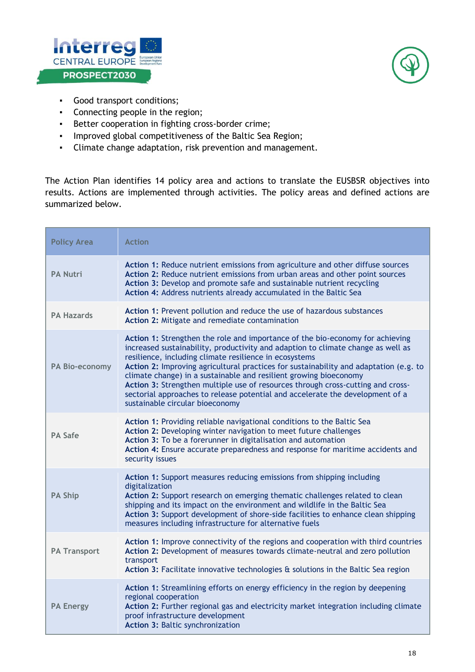![](_page_18_Picture_0.jpeg)

![](_page_18_Picture_1.jpeg)

- Good transport conditions;
- Connecting people in the region;
- Better cooperation in fighting cross-border crime;
- Improved global competitiveness of the Baltic Sea Region;
- Climate change adaptation, risk prevention and management.

The Action Plan identifies 14 policy area and actions to translate the EUSBSR objectives into results. Actions are implemented through activities. The policy areas and defined actions are summarized below.

| <b>Policy Area</b>  | <b>Action</b>                                                                                                                                                                                                                                                                                                                                                                                                                                                                                                                                                                                    |
|---------------------|--------------------------------------------------------------------------------------------------------------------------------------------------------------------------------------------------------------------------------------------------------------------------------------------------------------------------------------------------------------------------------------------------------------------------------------------------------------------------------------------------------------------------------------------------------------------------------------------------|
| <b>PA Nutri</b>     | Action 1: Reduce nutrient emissions from agriculture and other diffuse sources<br>Action 2: Reduce nutrient emissions from urban areas and other point sources<br>Action 3: Develop and promote safe and sustainable nutrient recycling<br>Action 4: Address nutrients already accumulated in the Baltic Sea                                                                                                                                                                                                                                                                                     |
| <b>PA Hazards</b>   | Action 1: Prevent pollution and reduce the use of hazardous substances<br>Action 2: Mitigate and remediate contamination                                                                                                                                                                                                                                                                                                                                                                                                                                                                         |
| PA Bio-economy      | Action 1: Strengthen the role and importance of the bio-economy for achieving<br>increased sustainability, productivity and adaption to climate change as well as<br>resilience, including climate resilience in ecosystems<br>Action 2: Improving agricultural practices for sustainability and adaptation (e.g. to<br>climate change) in a sustainable and resilient growing bioeconomy<br>Action 3: Strengthen multiple use of resources through cross-cutting and cross-<br>sectorial approaches to release potential and accelerate the development of a<br>sustainable circular bioeconomy |
| <b>PA Safe</b>      | Action 1: Providing reliable navigational conditions to the Baltic Sea<br>Action 2: Developing winter navigation to meet future challenges<br>Action 3: To be a forerunner in digitalisation and automation<br>Action 4: Ensure accurate preparedness and response for maritime accidents and<br>security issues                                                                                                                                                                                                                                                                                 |
| <b>PA Ship</b>      | Action 1: Support measures reducing emissions from shipping including<br>digitalization<br>Action 2: Support research on emerging thematic challenges related to clean<br>shipping and its impact on the environment and wildlife in the Baltic Sea<br>Action 3: Support development of shore-side facilities to enhance clean shipping<br>measures including infrastructure for alternative fuels                                                                                                                                                                                               |
| <b>PA Transport</b> | Action 1: Improve connectivity of the regions and cooperation with third countries<br>Action 2: Development of measures towards climate-neutral and zero pollution<br>transport<br>Action 3: Facilitate innovative technologies & solutions in the Baltic Sea region                                                                                                                                                                                                                                                                                                                             |
| <b>PA Energy</b>    | Action 1: Streamlining efforts on energy efficiency in the region by deepening<br>regional cooperation<br>Action 2: Further regional gas and electricity market integration including climate<br>proof infrastructure development<br>Action 3: Baltic synchronization                                                                                                                                                                                                                                                                                                                            |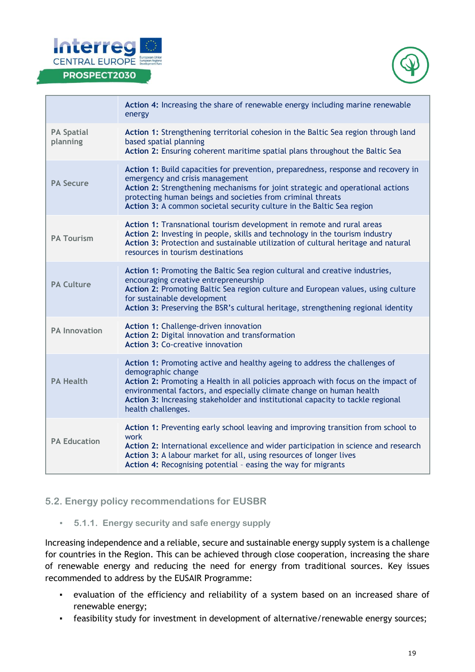![](_page_19_Picture_0.jpeg)

![](_page_19_Picture_1.jpeg)

|                               | Action 4: Increasing the share of renewable energy including marine renewable<br>energy                                                                                                                                                                                                                                                                               |
|-------------------------------|-----------------------------------------------------------------------------------------------------------------------------------------------------------------------------------------------------------------------------------------------------------------------------------------------------------------------------------------------------------------------|
| <b>PA Spatial</b><br>planning | Action 1: Strengthening territorial cohesion in the Baltic Sea region through land<br>based spatial planning<br>Action 2: Ensuring coherent maritime spatial plans throughout the Baltic Sea                                                                                                                                                                          |
| <b>PA Secure</b>              | Action 1: Build capacities for prevention, preparedness, response and recovery in<br>emergency and crisis management<br>Action 2: Strengthening mechanisms for joint strategic and operational actions<br>protecting human beings and societies from criminal threats<br>Action 3: A common societal security culture in the Baltic Sea region                        |
| <b>PA Tourism</b>             | Action 1: Transnational tourism development in remote and rural areas<br>Action 2: Investing in people, skills and technology in the tourism industry<br>Action 3: Protection and sustainable utilization of cultural heritage and natural<br>resources in tourism destinations                                                                                       |
| <b>PA Culture</b>             | Action 1: Promoting the Baltic Sea region cultural and creative industries,<br>encouraging creative entrepreneurship<br>Action 2: Promoting Baltic Sea region culture and European values, using culture<br>for sustainable development<br>Action 3: Preserving the BSR's cultural heritage, strengthening regional identity                                          |
| <b>PA Innovation</b>          | Action 1: Challenge-driven innovation<br>Action 2: Digital innovation and transformation<br><b>Action 3: Co-creative innovation</b>                                                                                                                                                                                                                                   |
| <b>PA Health</b>              | Action 1: Promoting active and healthy ageing to address the challenges of<br>demographic change<br>Action 2: Promoting a Health in all policies approach with focus on the impact of<br>environmental factors, and especially climate change on human health<br>Action 3: Increasing stakeholder and institutional capacity to tackle regional<br>health challenges. |
| <b>PA Education</b>           | Action 1: Preventing early school leaving and improving transition from school to<br>work<br>Action 2: International excellence and wider participation in science and research<br>Action 3: A labour market for all, using resources of longer lives<br>Action 4: Recognising potential - easing the way for migrants                                                |

#### <span id="page-19-0"></span>**5.2. Energy policy recommendations for EUSBR**

<span id="page-19-1"></span>▪ **5.1.1. Energy security and safe energy supply** 

Increasing independence and a reliable, secure and sustainable energy supply system is a challenge for countries in the Region. This can be achieved through close cooperation, increasing the share of renewable energy and reducing the need for energy from traditional sources. Key issues recommended to address by the EUSAIR Programme:

- evaluation of the efficiency and reliability of a system based on an increased share of renewable energy;
- feasibility study for investment in development of alternative/renewable energy sources;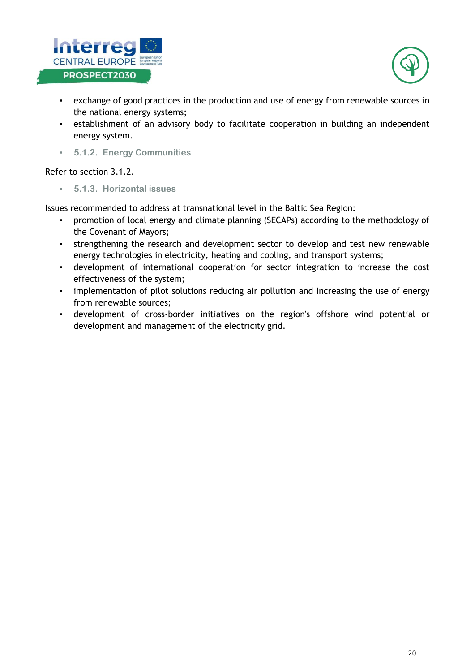![](_page_20_Picture_0.jpeg)

![](_page_20_Picture_1.jpeg)

- exchange of good practices in the production and use of energy from renewable sources in the national energy systems;
- **•** establishment of an advisory body to facilitate cooperation in building an independent energy system.
- <span id="page-20-0"></span>▪ **5.1.2. Energy Communities**

<span id="page-20-1"></span>Refer to section 3.1.2.

▪ **5.1.3. Horizontal issues**

Issues recommended to address at transnational level in the Baltic Sea Region:

- promotion of local energy and climate planning (SECAPs) according to the methodology of the Covenant of Mayors;
- **•** strengthening the research and development sector to develop and test new renewable energy technologies in electricity, heating and cooling, and transport systems;
- **•** development of international cooperation for sector integration to increase the cost effectiveness of the system;
- **•** implementation of pilot solutions reducing air pollution and increasing the use of energy from renewable sources;
- development of cross-border initiatives on the region's offshore wind potential or development and management of the electricity grid.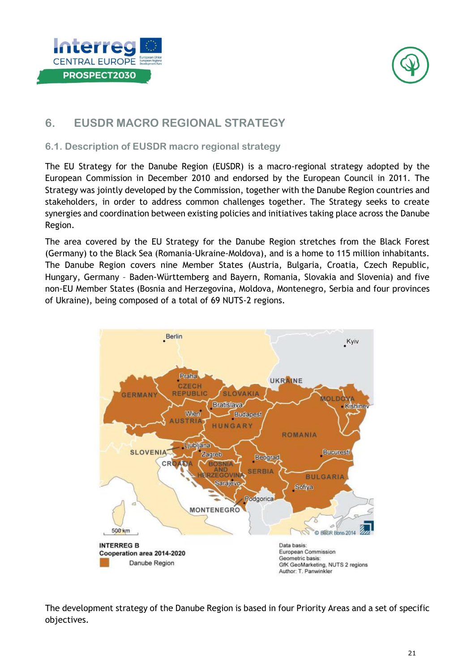![](_page_21_Picture_0.jpeg)

![](_page_21_Picture_1.jpeg)

## <span id="page-21-0"></span>**6. EUSDR MACRO REGIONAL STRATEGY**

#### <span id="page-21-1"></span>**6.1. Description of EUSDR macro regional strategy**

The EU Strategy for the Danube Region (EUSDR) is a macro-regional strategy adopted by the European Commission in December 2010 and endorsed by the European Council in 2011. The Strategy was jointly developed by the Commission, together with the Danube Region countries and stakeholders, in order to address common challenges together. The Strategy seeks to create synergies and coordination between existing policies and initiatives taking place across the Danube Region.

The area covered by the EU Strategy for the Danube Region stretches from the Black Forest (Germany) to the Black Sea (Romania-Ukraine-Moldova), and is a home to 115 million inhabitants. The Danube Region covers nine Member States (Austria, Bulgaria, Croatia, Czech Republic, Hungary, Germany – Baden-Württemberg and Bayern, Romania, Slovakia and Slovenia) and five non-EU Member States (Bosnia and Herzegovina, Moldova, Montenegro, Serbia and four provinces of Ukraine), being composed of a total of 69 NUTS-2 regions.

![](_page_21_Figure_6.jpeg)

The development strategy of the Danube Region is based in four Priority Areas and a set of specific objectives.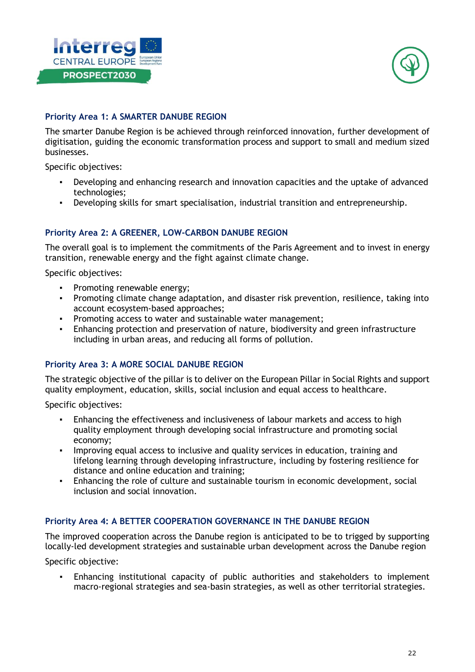![](_page_22_Picture_0.jpeg)

![](_page_22_Picture_1.jpeg)

#### **Priority Area 1: A SMARTER DANUBE REGION**

The smarter Danube Region is be achieved through reinforced innovation, further development of digitisation, guiding the economic transformation process and support to small and medium sized businesses.

Specific objectives:

- Developing and enhancing research and innovation capacities and the uptake of advanced technologies;
- Developing skills for smart specialisation, industrial transition and entrepreneurship.

#### **Priority Area 2: A GREENER, LOW-CARBON DANUBE REGION**

The overall goal is to implement the commitments of the Paris Agreement and to invest in energy transition, renewable energy and the fight against climate change.

Specific objectives:

- Promoting renewable energy;
- Promoting climate change adaptation, and disaster risk prevention, resilience, taking into account ecosystem-based approaches;
- Promoting access to water and sustainable water management;
- Enhancing protection and preservation of nature, biodiversity and green infrastructure including in urban areas, and reducing all forms of pollution.

#### **Priority Area 3: A MORE SOCIAL DANUBE REGION**

The strategic objective of the pillar is to deliver on the European Pillar in Social Rights and support quality employment, education, skills, social inclusion and equal access to healthcare.

Specific objectives:

- Enhancing the effectiveness and inclusiveness of labour markets and access to high quality employment through developing social infrastructure and promoting social economy;
- **•** Improving equal access to inclusive and quality services in education, training and lifelong learning through developing infrastructure, including by fostering resilience for distance and online education and training;
- Enhancing the role of culture and sustainable tourism in economic development, social inclusion and social innovation.

#### **Priority Area 4: A BETTER COOPERATION GOVERNANCE IN THE DANUBE REGION**

The improved cooperation across the Danube region is anticipated to be to trigged by supporting locally-led development strategies and sustainable urban development across the Danube region

Specific objective:

Enhancing institutional capacity of public authorities and stakeholders to implement macro-regional strategies and sea-basin strategies, as well as other territorial strategies.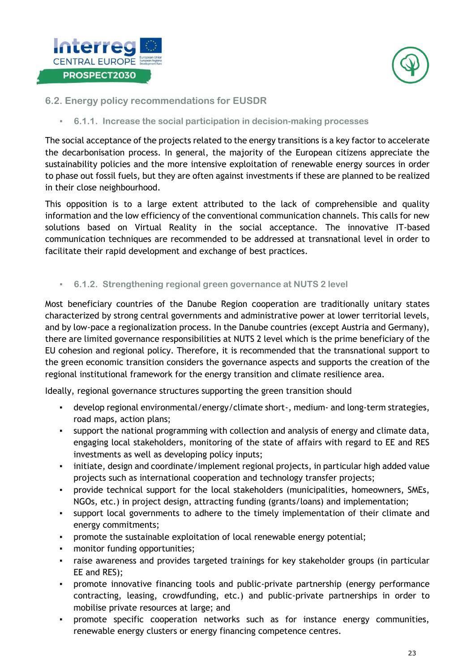![](_page_23_Picture_0.jpeg)

![](_page_23_Picture_1.jpeg)

#### <span id="page-23-0"></span>**6.2. Energy policy recommendations for EUSDR**

<span id="page-23-1"></span>▪ **6.1.1. Increase the social participation in decision-making processes**

The social acceptance of the projects related to the energy transitions is a key factor to accelerate the decarbonisation process. In general, the majority of the European citizens appreciate the sustainability policies and the more intensive exploitation of renewable energy sources in order to phase out fossil fuels, but they are often against investments if these are planned to be realized in their close neighbourhood.

This opposition is to a large extent attributed to the lack of comprehensible and quality information and the low efficiency of the conventional communication channels. This calls for new solutions based on Virtual Reality in the social acceptance. The innovative IT-based communication techniques are recommended to be addressed at transnational level in order to facilitate their rapid development and exchange of best practices.

<span id="page-23-2"></span>▪ **6.1.2. Strengthening regional green governance at NUTS 2 level** 

Most beneficiary countries of the Danube Region cooperation are traditionally unitary states characterized by strong central governments and administrative power at lower territorial levels, and by low-pace a regionalization process. In the Danube countries (except Austria and Germany), there are limited governance responsibilities at NUTS 2 level which is the prime beneficiary of the EU cohesion and regional policy. Therefore, it is recommended that the transnational support to the green economic transition considers the governance aspects and supports the creation of the regional institutional framework for the energy transition and climate resilience area.

Ideally, regional governance structures supporting the green transition should

- develop regional environmental/energy/climate short-, medium- and long-term strategies, road maps, action plans;
- support the national programming with collection and analysis of energy and climate data, engaging local stakeholders, monitoring of the state of affairs with regard to EE and RES investments as well as developing policy inputs;
- initiate, design and coordinate/implement regional projects, in particular high added value projects such as international cooperation and technology transfer projects;
- provide technical support for the local stakeholders (municipalities, homeowners, SMEs, NGOs, etc.) in project design, attracting funding (grants/loans) and implementation;
- support local governments to adhere to the timely implementation of their climate and energy commitments;
- promote the sustainable exploitation of local renewable energy potential;
- monitor funding opportunities;
- raise awareness and provides targeted trainings for key stakeholder groups (in particular EE and RES);
- promote innovative financing tools and public-private partnership (energy performance contracting, leasing, crowdfunding, etc.) and public-private partnerships in order to mobilise private resources at large; and
- promote specific cooperation networks such as for instance energy communities, renewable energy clusters or energy financing competence centres.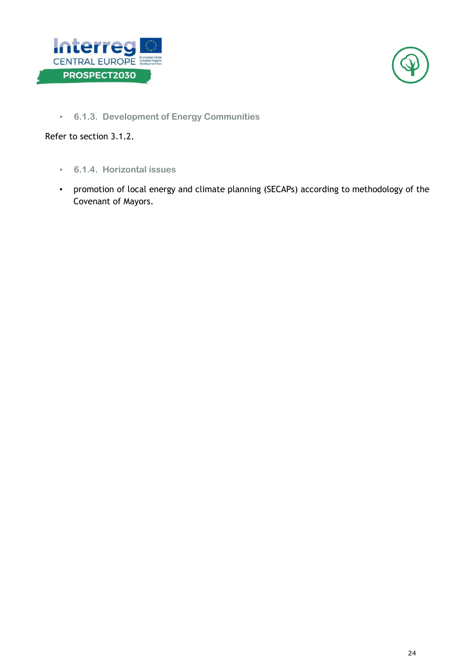![](_page_24_Picture_0.jpeg)

![](_page_24_Picture_1.jpeg)

<span id="page-24-0"></span>▪ **6.1.3. Development of Energy Communities**

Refer to section 3.1.2.

- <span id="page-24-1"></span>▪ **6.1.4. Horizontal issues**
- promotion of local energy and climate planning (SECAPs) according to methodology of the Covenant of Mayors.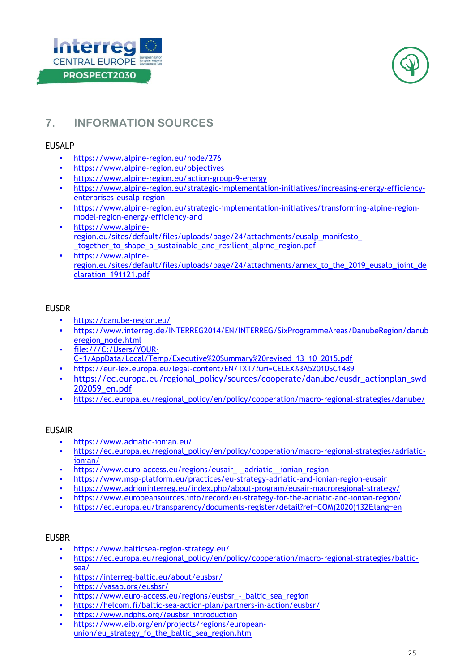![](_page_25_Picture_0.jpeg)

![](_page_25_Picture_1.jpeg)

## <span id="page-25-0"></span>**7. INFORMATION SOURCES**

#### EUSALP

- <https://www.alpine-region.eu/node/276>
- <https://www.alpine-region.eu/objectives>
- <https://www.alpine-region.eu/action-group-9-energy>
- [https://www.alpine-region.eu/strategic-implementation-initiatives/increasing-energy-efficiency](https://www.alpine-region.eu/strategic-implementation-initiatives/increasing-energy-efficiency-enterprises-eusalp-region)[enterprises-eusalp-region](https://www.alpine-region.eu/strategic-implementation-initiatives/increasing-energy-efficiency-enterprises-eusalp-region)
- [https://www.alpine-region.eu/strategic-implementation-initiatives/transforming-alpine-region](https://www.alpine-region.eu/strategic-implementation-initiatives/transforming-alpine-region-model-region-energy-efficiency-and)[model-region-energy-efficiency-and](https://www.alpine-region.eu/strategic-implementation-initiatives/transforming-alpine-region-model-region-energy-efficiency-and)
- [https://www.alpine](https://www.alpine-region.eu/sites/default/files/uploads/page/24/attachments/eusalp_manifesto_-_together_to_shape_a_sustainable_and_resilient_alpine_region.pdf)[region.eu/sites/default/files/uploads/page/24/attachments/eusalp\\_manifesto\\_-](https://www.alpine-region.eu/sites/default/files/uploads/page/24/attachments/eusalp_manifesto_-_together_to_shape_a_sustainable_and_resilient_alpine_region.pdf) [\\_together\\_to\\_shape\\_a\\_sustainable\\_and\\_resilient\\_alpine\\_region.pdf](https://www.alpine-region.eu/sites/default/files/uploads/page/24/attachments/eusalp_manifesto_-_together_to_shape_a_sustainable_and_resilient_alpine_region.pdf)
- [https://www.alpine](https://www.alpine-region.eu/sites/default/files/uploads/page/24/attachments/annex_to_the_2019_eusalp_joint_declaration_191121.pdf)[region.eu/sites/default/files/uploads/page/24/attachments/annex\\_to\\_the\\_2019\\_eusalp\\_joint\\_de](https://www.alpine-region.eu/sites/default/files/uploads/page/24/attachments/annex_to_the_2019_eusalp_joint_declaration_191121.pdf) [claration\\_191121.pdf](https://www.alpine-region.eu/sites/default/files/uploads/page/24/attachments/annex_to_the_2019_eusalp_joint_declaration_191121.pdf)

#### EUSDR

- <https://danube-region.eu/>
- [https://www.interreg.de/INTERREG2014/EN/INTERREG/SixProgrammeAreas/DanubeRegion/danub](https://www.interreg.de/INTERREG2014/EN/INTERREG/SixProgrammeAreas/DanubeRegion/danuberegion_node.html) [eregion\\_node.html](https://www.interreg.de/INTERREG2014/EN/INTERREG/SixProgrammeAreas/DanubeRegion/danuberegion_node.html)
- [file:///C:/Users/YOUR-](about:blank)[C~1/AppData/Local/Temp/Executive%20Summary%20revised\\_13\\_10\\_2015.pdf](about:blank)
- <https://eur-lex.europa.eu/legal-content/EN/TXT/?uri=CELEX%3A52010SC1489>
- https://ec.europa.eu/regional\_policy/sources/cooperate/danube/eusdr\_actionplan\_swd 202059\_en.pdf
- [https://ec.europa.eu/regional\\_policy/en/policy/cooperation/macro-regional-strategies/danube/](https://ec.europa.eu/regional_policy/en/policy/cooperation/macro-regional-strategies/danube/)

#### EUSAIR

- <https://www.adriatic-ionian.eu/>
- [https://ec.europa.eu/regional\\_policy/en/policy/cooperation/macro-regional-strategies/adriatic](https://ec.europa.eu/regional_policy/en/policy/cooperation/macro-regional-strategies/adriatic-ionian/)[ionian/](https://ec.europa.eu/regional_policy/en/policy/cooperation/macro-regional-strategies/adriatic-ionian/)
- [https://www.euro-access.eu/regions/eusair\\_-\\_adriatic\\_\\_ionian\\_region](https://www.euro-access.eu/regions/eusair_-_adriatic__ionian_region)
- <https://www.msp-platform.eu/practices/eu-strategy-adriatic-and-ionian-region-eusair>
- <https://www.adrioninterreg.eu/index.php/about-program/eusair-macroregional-strategy/>
- <https://www.europeansources.info/record/eu-strategy-for-the-adriatic-and-ionian-region/>
- [https://ec.europa.eu/transparency/documents-register/detail?ref=COM\(2020\)132&lang=en](https://ec.europa.eu/transparency/documents-register/detail?ref=COM(2020)132&lang=en)

#### EUSBR

- https://www.balticsea-region-strategy.eu/
- [https://ec.europa.eu/regional\\_policy/en/policy/cooperation/macro-regional-strategies/baltic](https://ec.europa.eu/regional_policy/en/policy/cooperation/macro-regional-strategies/baltic-sea/)[sea/](https://ec.europa.eu/regional_policy/en/policy/cooperation/macro-regional-strategies/baltic-sea/)
- <https://interreg-baltic.eu/about/eusbsr/>
- <https://vasab.org/eusbsr/>
- [https://www.euro-access.eu/regions/eusbsr\\_-\\_baltic\\_sea\\_region](https://www.euro-access.eu/regions/eusbsr_-_baltic_sea_region)
- <https://helcom.fi/baltic-sea-action-plan/partners-in-action/eusbsr/>
- [https://www.ndphs.org/?eusbsr\\_introduction](https://www.ndphs.org/?eusbsr_introduction)
- [https://www.eib.org/en/projects/regions/european](https://www.eib.org/en/projects/regions/european-union/eu_strategy_fo_the_baltic_sea_region.htm)[union/eu\\_strategy\\_fo\\_the\\_baltic\\_sea\\_region.htm](https://www.eib.org/en/projects/regions/european-union/eu_strategy_fo_the_baltic_sea_region.htm)